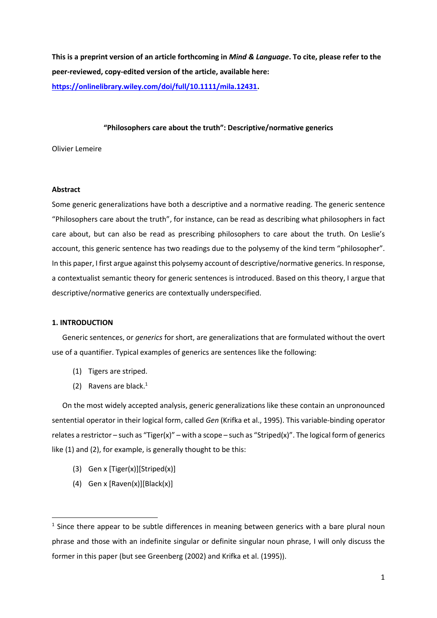**This is a preprint version of an article forthcoming in** *Mind & Language***. To cite, please refer to the peer-reviewed, copy-edited version of the article, available here: [https://onlinelibrary.wiley.com/doi/full/10.1111/mila.12431.](https://onlinelibrary.wiley.com/doi/full/10.1111/mila.12431)**

# **"Philosophers care about the truth": Descriptive/normative generics**

Olivier Lemeire

# **Abstract**

Some generic generalizations have both a descriptive and a normative reading. The generic sentence "Philosophers care about the truth", for instance, can be read as describing what philosophers in fact care about, but can also be read as prescribing philosophers to care about the truth. On Leslie's account, this generic sentence has two readings due to the polysemy of the kind term "philosopher". In this paper, I first argue against this polysemy account of descriptive/normative generics. In response, a contextualist semantic theory for generic sentences is introduced. Based on this theory, I argue that descriptive/normative generics are contextually underspecified.

### **1. INTRODUCTION**

Generic sentences, or *generics* for short, are generalizations that are formulated without the overt use of a quantifier. Typical examples of generics are sentences like the following:

- (1) Tigers are striped.
- (2) Ravens are black. $1$

On the most widely accepted analysis, generic generalizations like these contain an unpronounced sentential operator in their logical form, called *Gen* (Krifka et al., 1995). This variable-binding operator relates a restrictor – such as "Tiger(x)" – with a scope – such as "Striped(x)". The logical form of generics like (1) and (2), for example, is generally thought to be this:

- (3) Gen x [Tiger(x)][Striped(x)]
- (4) Gen x  $[Raven(x)]$ [Black(x)]

 $<sup>1</sup>$  Since there appear to be subtle differences in meaning between generics with a bare plural noun</sup> phrase and those with an indefinite singular or definite singular noun phrase, I will only discuss the former in this paper (but see Greenberg (2002) and Krifka et al. (1995)).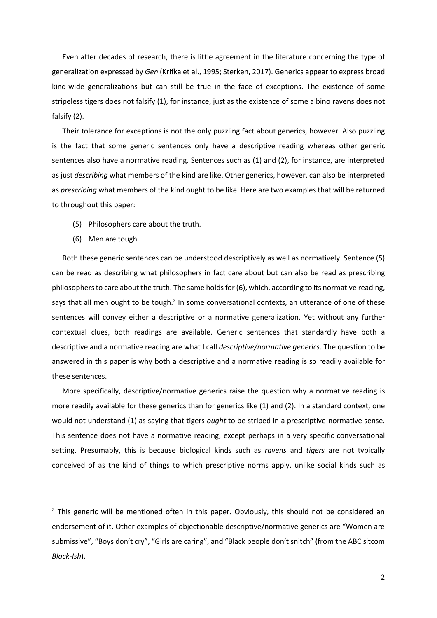Even after decades of research, there is little agreement in the literature concerning the type of generalization expressed by *Gen* (Krifka et al., 1995; Sterken, 2017). Generics appear to express broad kind-wide generalizations but can still be true in the face of exceptions. The existence of some stripeless tigers does not falsify (1), for instance, just as the existence of some albino ravens does not falsify (2).

Their tolerance for exceptions is not the only puzzling fact about generics, however. Also puzzling is the fact that some generic sentences only have a descriptive reading whereas other generic sentences also have a normative reading. Sentences such as (1) and (2), for instance, are interpreted as just *describing* what members of the kind are like. Other generics, however, can also be interpreted as *prescribing* what members of the kind ought to be like. Here are two examples that will be returned to throughout this paper:

- (5) Philosophers care about the truth.
- (6) Men are tough.

Both these generic sentences can be understood descriptively as well as normatively. Sentence (5) can be read as describing what philosophers in fact care about but can also be read as prescribing philosophers to care about the truth. The same holds for (6), which, according to its normative reading, says that all men ought to be tough.<sup>2</sup> In some conversational contexts, an utterance of one of these sentences will convey either a descriptive or a normative generalization. Yet without any further contextual clues, both readings are available. Generic sentences that standardly have both a descriptive and a normative reading are what I call *descriptive/normative generics*. The question to be answered in this paper is why both a descriptive and a normative reading is so readily available for these sentences.

More specifically, descriptive/normative generics raise the question why a normative reading is more readily available for these generics than for generics like (1) and (2). In a standard context, one would not understand (1) as saying that tigers *ought* to be striped in a prescriptive-normative sense. This sentence does not have a normative reading, except perhaps in a very specific conversational setting. Presumably, this is because biological kinds such as *ravens* and *tigers* are not typically conceived of as the kind of things to which prescriptive norms apply, unlike social kinds such as

 $2$  This generic will be mentioned often in this paper. Obviously, this should not be considered an endorsement of it. Other examples of objectionable descriptive/normative generics are "Women are submissive", "Boys don't cry", "Girls are caring", and "Black people don't snitch" (from the ABC sitcom *Black-Ish*).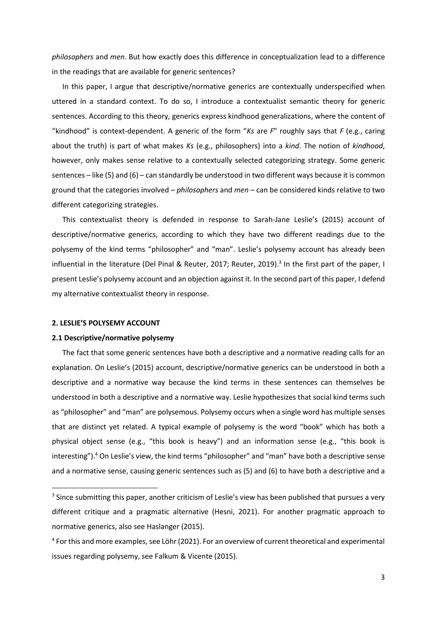*philosophers* and *men*. But how exactly does this difference in conceptualization lead to a difference in the readings that are available for generic sentences?

In this paper, I argue that descriptive/normative generics are contextually underspecified when uttered in a standard context. To do so, I introduce a contextualist semantic theory for generic sentences. According to this theory, generics express kindhood generalizations, where the content of "kindhood" is context-dependent. A generic of the form "*Ks* are *F*" roughly says that *F* (e.g., caring about the truth) is part of what makes *Ks* (e.g., philosophers) into a *kind*. The notion of *kindhood*, however, only makes sense relative to a contextually selected categorizing strategy. Some generic sentences – like (5) and (6) – can standardly be understood in two different ways because it is common ground that the categories involved – *philosophers* and *men* – can be considered kinds relative to two different categorizing strategies.

This contextualist theory is defended in response to Sarah-Jane Leslie's (2015) account of descriptive/normative generics, according to which they have two different readings due to the polysemy of the kind terms "philosopher" and "man". Leslie's polysemy account has already been influential in the literature (Del Pinal & Reuter, 2017; Reuter, 2019). 3 In the first part of the paper, I present Leslie's polysemy account and an objection against it. In the second part of this paper, I defend my alternative contextualist theory in response.

#### **2. LESLIE'S POLYSEMY ACCOUNT**

#### **2.1 Descriptive/normative polysemy**

The fact that some generic sentences have both a descriptive and a normative reading calls for an explanation. On Leslie's (2015) account, descriptive/normative generics can be understood in both a descriptive and a normative way because the kind terms in these sentences can themselves be understood in both a descriptive and a normative way. Leslie hypothesizes that social kind terms such as "philosopher" and "man" are polysemous. Polysemy occurs when a single word has multiple senses that are distinct yet related. A typical example of polysemy is the word "book" which has both a physical object sense (e.g., "this book is heavy") and an information sense (e.g., "this book is interesting").<sup>4</sup> On Leslie's view, the kind terms "philosopher" and "man" have both a descriptive sense and a normative sense, causing generic sentences such as (5) and (6) to have both a descriptive and a

<sup>&</sup>lt;sup>3</sup> Since submitting this paper, another criticism of Leslie's view has been published that pursues a very different critique and a pragmatic alternative (Hesni, 2021). For another pragmatic approach to normative generics, also see Haslanger (2015).

<sup>&</sup>lt;sup>4</sup> For this and more examples, see Löhr (2021). For an overview of current theoretical and experimental issues regarding polysemy, see Falkum & Vicente (2015).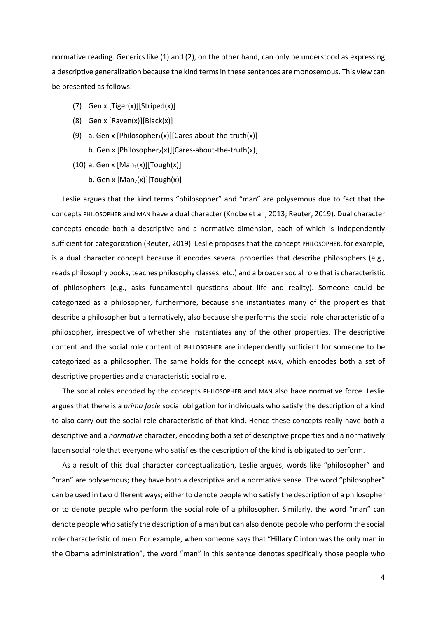normative reading. Generics like (1) and (2), on the other hand, can only be understood as expressing a descriptive generalization because the kind terms in these sentences are monosemous. This view can be presented as follows:

- (7) Gen x [Tiger(x)][Striped(x)]
- (8) Gen x  $[Raven(x)][Black(x)]$
- (9) a. Gen x [Philosopher<sub>1</sub>(x)][Cares-about-the-truth(x)] b. Gen x [Philosopher<sub>2</sub>(x)][Cares-about-the-truth(x)]
- (10) a. Gen x  $[Man_1(x)][Tour(k)]$ 
	- b. Gen x  $[Man_2(x)][Tough(x)]$

Leslie argues that the kind terms "philosopher" and "man" are polysemous due to fact that the concepts PHILOSOPHER and MAN have a dual character (Knobe et al., 2013; Reuter, 2019). Dual character concepts encode both a descriptive and a normative dimension, each of which is independently sufficient for categorization (Reuter, 2019). Leslie proposes that the concept PHILOSOPHER, for example, is a dual character concept because it encodes several properties that describe philosophers (e.g., reads philosophy books, teaches philosophy classes, etc.) and a broader social role that is characteristic of philosophers (e.g., asks fundamental questions about life and reality). Someone could be categorized as a philosopher, furthermore, because she instantiates many of the properties that describe a philosopher but alternatively, also because she performs the social role characteristic of a philosopher, irrespective of whether she instantiates any of the other properties. The descriptive content and the social role content of PHILOSOPHER are independently sufficient for someone to be categorized as a philosopher. The same holds for the concept MAN, which encodes both a set of descriptive properties and a characteristic social role.

The social roles encoded by the concepts PHILOSOPHER and MAN also have normative force. Leslie argues that there is a *prima facie* social obligation for individuals who satisfy the description of a kind to also carry out the social role characteristic of that kind. Hence these concepts really have both a descriptive and a *normative* character, encoding both a set of descriptive properties and a normatively laden social role that everyone who satisfies the description of the kind is obligated to perform.

As a result of this dual character conceptualization, Leslie argues, words like "philosopher" and "man" are polysemous; they have both a descriptive and a normative sense. The word "philosopher" can be used in two different ways; either to denote people who satisfy the description of a philosopher or to denote people who perform the social role of a philosopher. Similarly, the word "man" can denote people who satisfy the description of a man but can also denote people who perform the social role characteristic of men. For example, when someone says that "Hillary Clinton was the only man in the Obama administration", the word "man" in this sentence denotes specifically those people who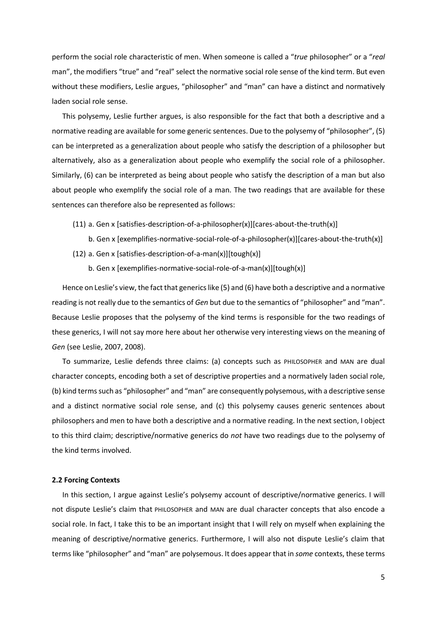perform the social role characteristic of men. When someone is called a "*true* philosopher" or a "*real* man", the modifiers "true" and "real" select the normative social role sense of the kind term. But even without these modifiers, Leslie argues, "philosopher" and "man" can have a distinct and normatively laden social role sense.

This polysemy, Leslie further argues, is also responsible for the fact that both a descriptive and a normative reading are available for some generic sentences. Due to the polysemy of "philosopher", (5) can be interpreted as a generalization about people who satisfy the description of a philosopher but alternatively, also as a generalization about people who exemplify the social role of a philosopher. Similarly, (6) can be interpreted as being about people who satisfy the description of a man but also about people who exemplify the social role of a man. The two readings that are available for these sentences can therefore also be represented as follows:

- (11) a. Gen x [satisfies-description-of-a-philosopher(x)][cares-about-the-truth(x)]
	- b. Gen x [exemplifies-normative-social-role-of-a-philosopher(x)][cares-about-the-truth(x)]
- (12) a. Gen x [satisfies-description-of-a-man(x)][tough(x)]
	- b. Gen x [exemplifies-normative-social-role-of-a-man(x)][tough(x)]

Hence on Leslie's view, the fact that generics like (5) and (6) have both a descriptive and a normative reading is not really due to the semantics of *Gen* but due to the semantics of "philosopher" and "man". Because Leslie proposes that the polysemy of the kind terms is responsible for the two readings of these generics, I will not say more here about her otherwise very interesting views on the meaning of *Gen* (see Leslie, 2007, 2008).

To summarize, Leslie defends three claims: (a) concepts such as PHILOSOPHER and MAN are dual character concepts, encoding both a set of descriptive properties and a normatively laden social role, (b) kind terms such as "philosopher" and "man" are consequently polysemous, with a descriptive sense and a distinct normative social role sense, and (c) this polysemy causes generic sentences about philosophers and men to have both a descriptive and a normative reading. In the next section, I object to this third claim; descriptive/normative generics do *not* have two readings due to the polysemy of the kind terms involved.

#### **2.2 Forcing Contexts**

In this section, I argue against Leslie's polysemy account of descriptive/normative generics. I will not dispute Leslie's claim that PHILOSOPHER and MAN are dual character concepts that also encode a social role. In fact, I take this to be an important insight that I will rely on myself when explaining the meaning of descriptive/normative generics. Furthermore, I will also not dispute Leslie's claim that terms like "philosopher" and "man" are polysemous. It does appear that in *some* contexts, these terms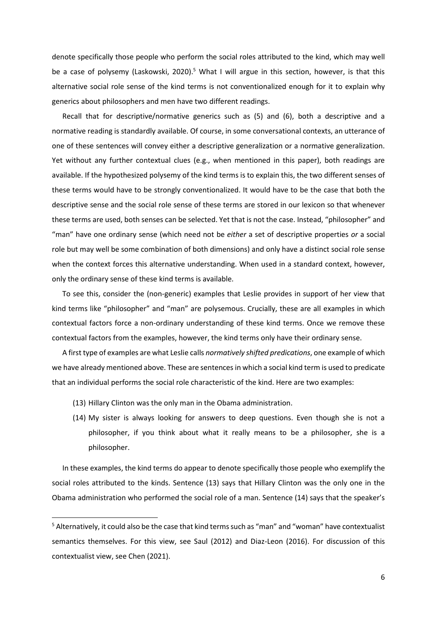denote specifically those people who perform the social roles attributed to the kind, which may well be a case of polysemy (Laskowski, 2020).<sup>5</sup> What I will argue in this section, however, is that this alternative social role sense of the kind terms is not conventionalized enough for it to explain why generics about philosophers and men have two different readings.

Recall that for descriptive/normative generics such as (5) and (6), both a descriptive and a normative reading is standardly available. Of course, in some conversational contexts, an utterance of one of these sentences will convey either a descriptive generalization or a normative generalization. Yet without any further contextual clues (e.g., when mentioned in this paper), both readings are available. If the hypothesized polysemy of the kind terms is to explain this, the two different senses of these terms would have to be strongly conventionalized. It would have to be the case that both the descriptive sense and the social role sense of these terms are stored in our lexicon so that whenever these terms are used, both senses can be selected. Yet that is not the case. Instead, "philosopher" and "man" have one ordinary sense (which need not be *either* a set of descriptive properties *or* a social role but may well be some combination of both dimensions) and only have a distinct social role sense when the context forces this alternative understanding. When used in a standard context, however, only the ordinary sense of these kind terms is available.

To see this, consider the (non-generic) examples that Leslie provides in support of her view that kind terms like "philosopher" and "man" are polysemous. Crucially, these are all examples in which contextual factors force a non-ordinary understanding of these kind terms. Once we remove these contextual factors from the examples, however, the kind terms only have their ordinary sense.

A first type of examples are what Leslie calls *normatively shifted predications*, one example of which we have already mentioned above. These are sentences in which a social kind term is used to predicate that an individual performs the social role characteristic of the kind. Here are two examples:

- (13) Hillary Clinton was the only man in the Obama administration.
- (14) My sister is always looking for answers to deep questions. Even though she is not a philosopher, if you think about what it really means to be a philosopher, she is a philosopher.

In these examples, the kind terms do appear to denote specifically those people who exemplify the social roles attributed to the kinds. Sentence (13) says that Hillary Clinton was the only one in the Obama administration who performed the social role of a man. Sentence (14) says that the speaker's

 $5$  Alternatively, it could also be the case that kind terms such as "man" and "woman" have contextualist semantics themselves. For this view, see Saul (2012) and Diaz-Leon (2016). For discussion of this contextualist view, see Chen (2021).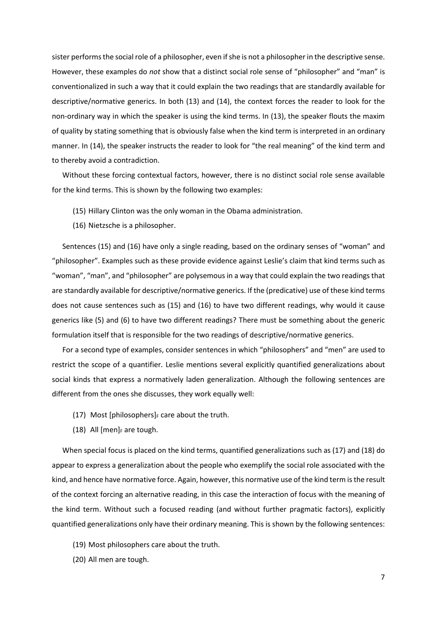sister performs the social role of a philosopher, even if she is not a philosopher in the descriptive sense. However, these examples do *not* show that a distinct social role sense of "philosopher" and "man" is conventionalized in such a way that it could explain the two readings that are standardly available for descriptive/normative generics. In both (13) and (14), the context forces the reader to look for the non-ordinary way in which the speaker is using the kind terms. In (13), the speaker flouts the maxim of quality by stating something that is obviously false when the kind term is interpreted in an ordinary manner. In (14), the speaker instructs the reader to look for "the real meaning" of the kind term and to thereby avoid a contradiction.

Without these forcing contextual factors, however, there is no distinct social role sense available for the kind terms. This is shown by the following two examples:

- (15) Hillary Clinton was the only woman in the Obama administration.
- (16) Nietzsche is a philosopher.

Sentences (15) and (16) have only a single reading, based on the ordinary senses of "woman" and "philosopher". Examples such as these provide evidence against Leslie's claim that kind terms such as "woman", "man", and "philosopher" are polysemous in a way that could explain the two readings that are standardly available for descriptive/normative generics. If the (predicative) use of these kind terms does not cause sentences such as (15) and (16) to have two different readings, why would it cause generics like (5) and (6) to have two different readings? There must be something about the generic formulation itself that is responsible for the two readings of descriptive/normative generics.

For a second type of examples, consider sentences in which "philosophers" and "men" are used to restrict the scope of a quantifier. Leslie mentions several explicitly quantified generalizations about social kinds that express a normatively laden generalization. Although the following sentences are different from the ones she discusses, they work equally well:

- (17) Most [philosophers] $_F$  care about the truth.
- (18) All  $[men]_F$  are tough.

When special focus is placed on the kind terms, quantified generalizations such as (17) and (18) do appear to express a generalization about the people who exemplify the social role associated with the kind, and hence have normative force. Again, however, this normative use of the kind term is the result of the context forcing an alternative reading, in this case the interaction of focus with the meaning of the kind term. Without such a focused reading (and without further pragmatic factors), explicitly quantified generalizations only have their ordinary meaning. This is shown by the following sentences:

- (19) Most philosophers care about the truth.
- (20) All men are tough.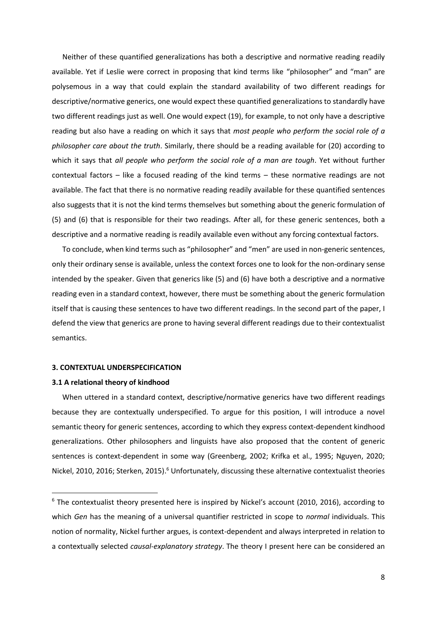Neither of these quantified generalizations has both a descriptive and normative reading readily available. Yet if Leslie were correct in proposing that kind terms like "philosopher" and "man" are polysemous in a way that could explain the standard availability of two different readings for descriptive/normative generics, one would expect these quantified generalizations to standardly have two different readings just as well. One would expect (19), for example, to not only have a descriptive reading but also have a reading on which it says that *most people who perform the social role of a philosopher care about the truth*. Similarly, there should be a reading available for (20) according to which it says that *all people who perform the social role of a man are tough*. Yet without further contextual factors – like a focused reading of the kind terms – these normative readings are not available. The fact that there is no normative reading readily available for these quantified sentences also suggests that it is not the kind terms themselves but something about the generic formulation of (5) and (6) that is responsible for their two readings. After all, for these generic sentences, both a descriptive and a normative reading is readily available even without any forcing contextual factors.

To conclude, when kind terms such as "philosopher" and "men" are used in non-generic sentences, only their ordinary sense is available, unless the context forces one to look for the non-ordinary sense intended by the speaker. Given that generics like (5) and (6) have both a descriptive and a normative reading even in a standard context, however, there must be something about the generic formulation itself that is causing these sentences to have two different readings. In the second part of the paper, I defend the view that generics are prone to having several different readings due to their contextualist semantics.

# **3. CONTEXTUAL UNDERSPECIFICATION**

#### **3.1 A relational theory of kindhood**

When uttered in a standard context, descriptive/normative generics have two different readings because they are contextually underspecified. To argue for this position, I will introduce a novel semantic theory for generic sentences, according to which they express context-dependent kindhood generalizations. Other philosophers and linguists have also proposed that the content of generic sentences is context-dependent in some way (Greenberg, 2002; Krifka et al., 1995; Nguyen, 2020; Nickel, 2010, 2016; Sterken, 2015).<sup>6</sup> Unfortunately, discussing these alternative contextualist theories

 $6$  The contextualist theory presented here is inspired by Nickel's account (2010, 2016), according to which *Gen* has the meaning of a universal quantifier restricted in scope to *normal* individuals. This notion of normality, Nickel further argues, is context-dependent and always interpreted in relation to a contextually selected *causal*-*explanatory strategy*. The theory I present here can be considered an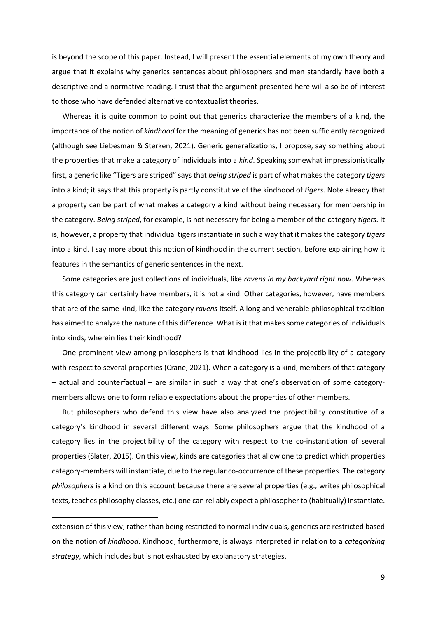is beyond the scope of this paper. Instead, I will present the essential elements of my own theory and argue that it explains why generics sentences about philosophers and men standardly have both a descriptive and a normative reading. I trust that the argument presented here will also be of interest to those who have defended alternative contextualist theories.

Whereas it is quite common to point out that generics characterize the members of a kind, the importance of the notion of *kindhood* for the meaning of generics has not been sufficiently recognized (although see Liebesman & Sterken, 2021). Generic generalizations, I propose, say something about the properties that make a category of individuals into a *kind*. Speaking somewhat impressionistically first, a generic like "Tigers are striped" says that *being striped* is part of what makes the category *tigers* into a kind; it says that this property is partly constitutive of the kindhood of *tigers*. Note already that a property can be part of what makes a category a kind without being necessary for membership in the category. *Being striped*, for example, is not necessary for being a member of the category *tigers.* It is, however, a property that individual tigers instantiate in such a way that it makes the category *tigers* into a kind. I say more about this notion of kindhood in the current section, before explaining how it features in the semantics of generic sentences in the next.

Some categories are just collections of individuals, like *ravens in my backyard right now*. Whereas this category can certainly have members, it is not a kind. Other categories, however, have members that are of the same kind, like the category *ravens* itself. A long and venerable philosophical tradition has aimed to analyze the nature of this difference. What is it that makes some categories of individuals into kinds, wherein lies their kindhood?

One prominent view among philosophers is that kindhood lies in the projectibility of a category with respect to several properties (Crane, 2021). When a category is a kind, members of that category – actual and counterfactual – are similar in such a way that one's observation of some categorymembers allows one to form reliable expectations about the properties of other members.

But philosophers who defend this view have also analyzed the projectibility constitutive of a category's kindhood in several different ways. Some philosophers argue that the kindhood of a category lies in the projectibility of the category with respect to the co-instantiation of several properties (Slater, 2015). On this view, kinds are categories that allow one to predict which properties category-members will instantiate, due to the regular co-occurrence of these properties. The category *philosophers* is a kind on this account because there are several properties (e.g., writes philosophical texts, teaches philosophy classes, etc.) one can reliably expect a philosopher to (habitually) instantiate.

extension of this view; rather than being restricted to normal individuals, generics are restricted based on the notion of *kindhood*. Kindhood, furthermore, is always interpreted in relation to a *categorizing strategy*, which includes but is not exhausted by explanatory strategies.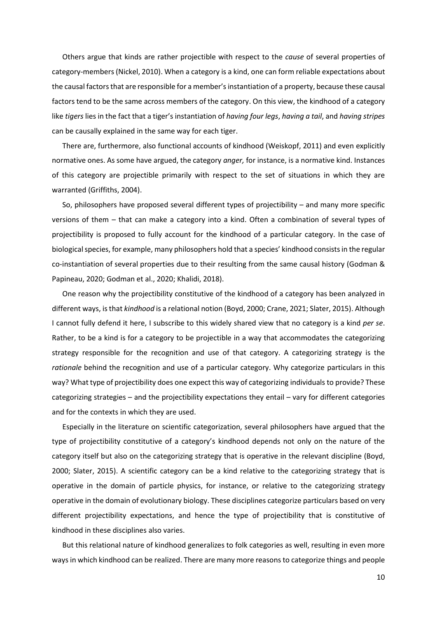Others argue that kinds are rather projectible with respect to the *cause* of several properties of category-members (Nickel, 2010). When a category is a kind, one can form reliable expectations about the causal factors that are responsible for a member's instantiation of a property, because these causal factors tend to be the same across members of the category. On this view, the kindhood of a category like *tigers* lies in the fact that a tiger's instantiation of *having four legs*, *having a tail*, and *having stripes* can be causally explained in the same way for each tiger.

There are, furthermore, also functional accounts of kindhood (Weiskopf, 2011) and even explicitly normative ones. As some have argued, the category *anger,* for instance, is a normative kind. Instances of this category are projectible primarily with respect to the set of situations in which they are warranted (Griffiths, 2004).

So, philosophers have proposed several different types of projectibility – and many more specific versions of them – that can make a category into a kind. Often a combination of several types of projectibility is proposed to fully account for the kindhood of a particular category. In the case of biological species, for example, many philosophers hold that a species' kindhood consists in the regular co-instantiation of several properties due to their resulting from the same causal history (Godman & Papineau, 2020; Godman et al., 2020; Khalidi, 2018).

One reason why the projectibility constitutive of the kindhood of a category has been analyzed in different ways, is that *kindhood* is a relational notion (Boyd, 2000; Crane, 2021; Slater, 2015). Although I cannot fully defend it here, I subscribe to this widely shared view that no category is a kind *per se*. Rather, to be a kind is for a category to be projectible in a way that accommodates the categorizing strategy responsible for the recognition and use of that category. A categorizing strategy is the *rationale* behind the recognition and use of a particular category. Why categorize particulars in this way? What type of projectibility does one expect this way of categorizing individuals to provide? These categorizing strategies – and the projectibility expectations they entail – vary for different categories and for the contexts in which they are used.

Especially in the literature on scientific categorization, several philosophers have argued that the type of projectibility constitutive of a category's kindhood depends not only on the nature of the category itself but also on the categorizing strategy that is operative in the relevant discipline (Boyd, 2000; Slater, 2015). A scientific category can be a kind relative to the categorizing strategy that is operative in the domain of particle physics, for instance, or relative to the categorizing strategy operative in the domain of evolutionary biology. These disciplines categorize particulars based on very different projectibility expectations, and hence the type of projectibility that is constitutive of kindhood in these disciplines also varies.

But this relational nature of kindhood generalizes to folk categories as well, resulting in even more ways in which kindhood can be realized. There are many more reasons to categorize things and people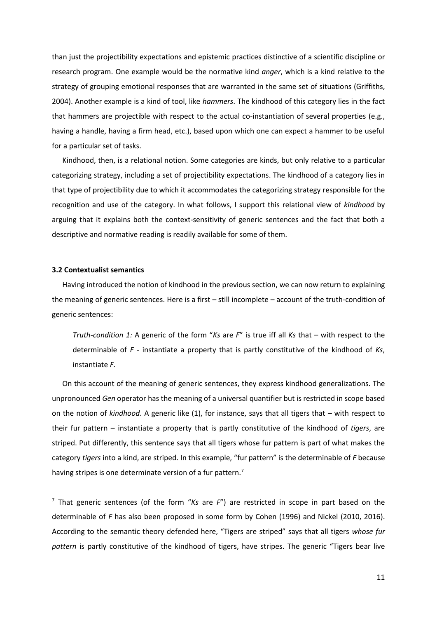than just the projectibility expectations and epistemic practices distinctive of a scientific discipline or research program. One example would be the normative kind *anger*, which is a kind relative to the strategy of grouping emotional responses that are warranted in the same set of situations (Griffiths, 2004). Another example is a kind of tool, like *hammers*. The kindhood of this category lies in the fact that hammers are projectible with respect to the actual co-instantiation of several properties (e.g., having a handle, having a firm head, etc.), based upon which one can expect a hammer to be useful for a particular set of tasks.

Kindhood, then, is a relational notion. Some categories are kinds, but only relative to a particular categorizing strategy, including a set of projectibility expectations. The kindhood of a category lies in that type of projectibility due to which it accommodates the categorizing strategy responsible for the recognition and use of the category. In what follows, I support this relational view of *kindhood* by arguing that it explains both the context-sensitivity of generic sentences and the fact that both a descriptive and normative reading is readily available for some of them.

## **3.2 Contextualist semantics**

Having introduced the notion of kindhood in the previous section, we can now return to explaining the meaning of generic sentences. Here is a first – still incomplete – account of the truth-condition of generic sentences:

*Truth-condition 1:* A generic of the form "*Ks* are *F*" is true iff all *Ks* that – with respect to the determinable of *F* - instantiate a property that is partly constitutive of the kindhood of *Ks*, instantiate *F.*

On this account of the meaning of generic sentences, they express kindhood generalizations. The unpronounced *Gen* operator has the meaning of a universal quantifier but is restricted in scope based on the notion of *kindhood*. A generic like (1), for instance, says that all tigers that – with respect to their fur pattern – instantiate a property that is partly constitutive of the kindhood of *tigers*, are striped. Put differently, this sentence says that all tigers whose fur pattern is part of what makes the category *tigers* into a kind, are striped. In this example, "fur pattern" is the determinable of *F* because having stripes is one determinate version of a fur pattern.<sup>7</sup>

<sup>7</sup> That generic sentences (of the form "*Ks* are *F*") are restricted in scope in part based on the determinable of *F* has also been proposed in some form by Cohen (1996) and Nickel (2010, 2016). According to the semantic theory defended here, "Tigers are striped" says that all tigers *whose fur pattern* is partly constitutive of the kindhood of tigers, have stripes. The generic "Tigers bear live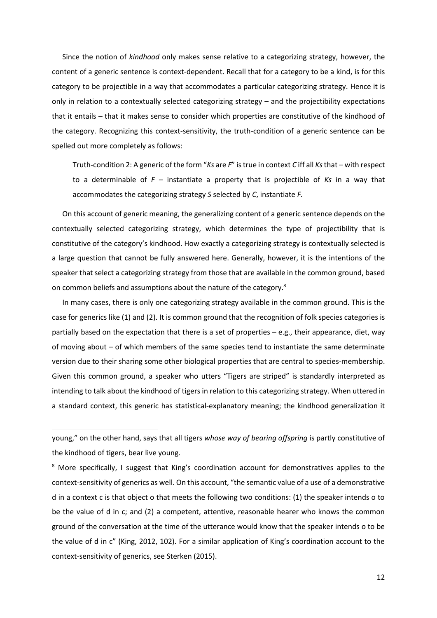Since the notion of *kindhood* only makes sense relative to a categorizing strategy, however, the content of a generic sentence is context-dependent. Recall that for a category to be a kind, is for this category to be projectible in a way that accommodates a particular categorizing strategy. Hence it is only in relation to a contextually selected categorizing strategy – and the projectibility expectations that it entails – that it makes sense to consider which properties are constitutive of the kindhood of the category. Recognizing this context-sensitivity, the truth-condition of a generic sentence can be spelled out more completely as follows:

Truth-condition 2: A generic of the form "*Ks* are *F*" is true in context *C* iff all *Ks*that – with respect to a determinable of *F* – instantiate a property that is projectible of *Ks* in a way that accommodates the categorizing strategy *S* selected by *C*, instantiate *F.*

On this account of generic meaning, the generalizing content of a generic sentence depends on the contextually selected categorizing strategy, which determines the type of projectibility that is constitutive of the category's kindhood. How exactly a categorizing strategy is contextually selected is a large question that cannot be fully answered here. Generally, however, it is the intentions of the speaker that select a categorizing strategy from those that are available in the common ground, based on common beliefs and assumptions about the nature of the category.<sup>8</sup>

In many cases, there is only one categorizing strategy available in the common ground. This is the case for generics like (1) and (2). It is common ground that the recognition of folk species categories is partially based on the expectation that there is a set of properties – e.g., their appearance, diet, way of moving about – of which members of the same species tend to instantiate the same determinate version due to their sharing some other biological properties that are central to species-membership. Given this common ground, a speaker who utters "Tigers are striped" is standardly interpreted as intending to talk about the kindhood of tigers in relation to this categorizing strategy. When uttered in a standard context, this generic has statistical-explanatory meaning; the kindhood generalization it

young," on the other hand, says that all tigers *whose way of bearing offspring* is partly constitutive of the kindhood of tigers, bear live young.

 $8$  More specifically, I suggest that King's coordination account for demonstratives applies to the context-sensitivity of generics as well. On this account, "the semantic value of a use of a demonstrative d in a context c is that object o that meets the following two conditions: (1) the speaker intends o to be the value of d in c; and (2) a competent, attentive, reasonable hearer who knows the common ground of the conversation at the time of the utterance would know that the speaker intends o to be the value of d in c" (King, 2012, 102). For a similar application of King's coordination account to the context-sensitivity of generics, see Sterken (2015).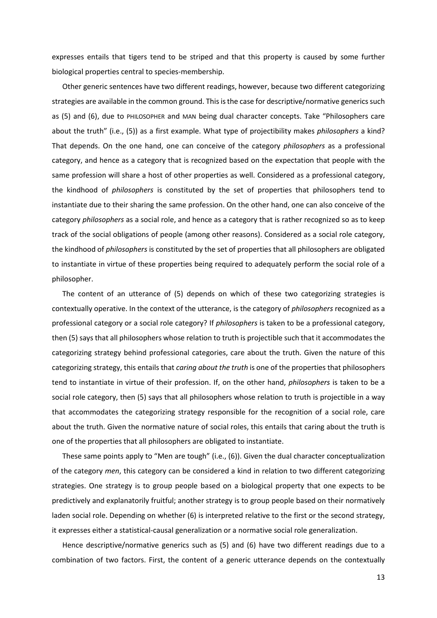expresses entails that tigers tend to be striped and that this property is caused by some further biological properties central to species-membership.

Other generic sentences have two different readings, however, because two different categorizing strategies are available in the common ground. This is the case for descriptive/normative generics such as (5) and (6), due to PHILOSOPHER and MAN being dual character concepts. Take "Philosophers care about the truth" (i.e., (5)) as a first example. What type of projectibility makes *philosophers* a kind? That depends. On the one hand, one can conceive of the category *philosophers* as a professional category, and hence as a category that is recognized based on the expectation that people with the same profession will share a host of other properties as well. Considered as a professional category, the kindhood of *philosophers* is constituted by the set of properties that philosophers tend to instantiate due to their sharing the same profession. On the other hand, one can also conceive of the category *philosophers* as a social role, and hence as a category that is rather recognized so as to keep track of the social obligations of people (among other reasons). Considered as a social role category, the kindhood of *philosophers* is constituted by the set of properties that all philosophers are obligated to instantiate in virtue of these properties being required to adequately perform the social role of a philosopher.

The content of an utterance of (5) depends on which of these two categorizing strategies is contextually operative. In the context of the utterance, is the category of *philosophers* recognized as a professional category or a social role category? If *philosophers* is taken to be a professional category, then (5) says that all philosophers whose relation to truth is projectible such that it accommodates the categorizing strategy behind professional categories, care about the truth. Given the nature of this categorizing strategy, this entails that *caring about the truth* is one of the properties that philosophers tend to instantiate in virtue of their profession. If, on the other hand, *philosophers* is taken to be a social role category, then (5) says that all philosophers whose relation to truth is projectible in a way that accommodates the categorizing strategy responsible for the recognition of a social role, care about the truth. Given the normative nature of social roles, this entails that caring about the truth is one of the properties that all philosophers are obligated to instantiate.

These same points apply to "Men are tough" (i.e., (6)). Given the dual character conceptualization of the category *men*, this category can be considered a kind in relation to two different categorizing strategies. One strategy is to group people based on a biological property that one expects to be predictively and explanatorily fruitful; another strategy is to group people based on their normatively laden social role. Depending on whether (6) is interpreted relative to the first or the second strategy, it expresses either a statistical-causal generalization or a normative social role generalization.

Hence descriptive/normative generics such as (5) and (6) have two different readings due to a combination of two factors. First, the content of a generic utterance depends on the contextually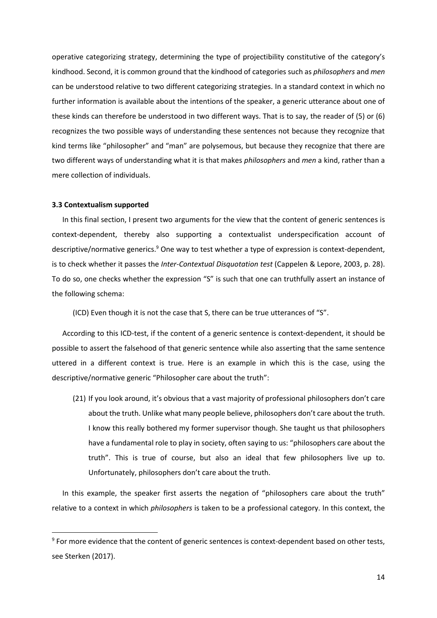operative categorizing strategy, determining the type of projectibility constitutive of the category's kindhood. Second, it is common ground that the kindhood of categories such as *philosophers* and *men* can be understood relative to two different categorizing strategies. In a standard context in which no further information is available about the intentions of the speaker, a generic utterance about one of these kinds can therefore be understood in two different ways. That is to say, the reader of (5) or (6) recognizes the two possible ways of understanding these sentences not because they recognize that kind terms like "philosopher" and "man" are polysemous, but because they recognize that there are two different ways of understanding what it is that makes *philosophers* and *men* a kind, rather than a mere collection of individuals.

### **3.3 Contextualism supported**

In this final section, I present two arguments for the view that the content of generic sentences is context-dependent, thereby also supporting a contextualist underspecification account of descriptive/normative generics. <sup>9</sup> One way to test whether a type of expression is context-dependent, is to check whether it passes the *Inter-Contextual Disquotation test* (Cappelen & Lepore, 2003, p. 28). To do so, one checks whether the expression "S" is such that one can truthfully assert an instance of the following schema:

(ICD) Even though it is not the case that S, there can be true utterances of "S".

According to this ICD-test, if the content of a generic sentence is context-dependent, it should be possible to assert the falsehood of that generic sentence while also asserting that the same sentence uttered in a different context is true. Here is an example in which this is the case, using the descriptive/normative generic "Philosopher care about the truth":

(21) If you look around, it's obvious that a vast majority of professional philosophers don't care about the truth. Unlike what many people believe, philosophers don't care about the truth. I know this really bothered my former supervisor though. She taught us that philosophers have a fundamental role to play in society, often saying to us: "philosophers care about the truth". This is true of course, but also an ideal that few philosophers live up to. Unfortunately, philosophers don't care about the truth.

In this example, the speaker first asserts the negation of "philosophers care about the truth" relative to a context in which *philosophers* is taken to be a professional category. In this context, the

 $9$  For more evidence that the content of generic sentences is context-dependent based on other tests, see Sterken (2017).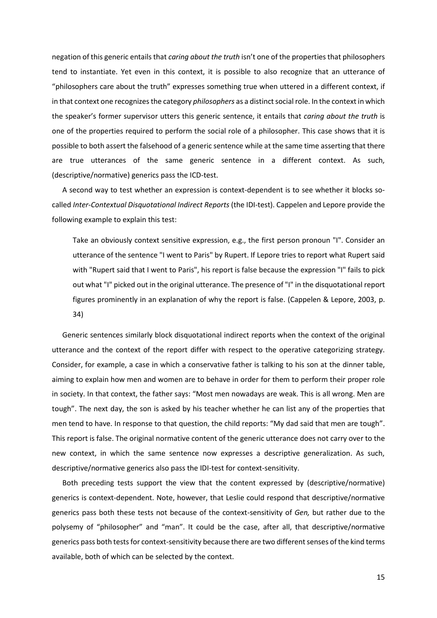negation of this generic entails that *caring about the truth* isn't one of the properties that philosophers tend to instantiate. Yet even in this context, it is possible to also recognize that an utterance of "philosophers care about the truth" expresses something true when uttered in a different context, if in that context one recognizes the category *philosophers* as a distinct social role. In the context in which the speaker's former supervisor utters this generic sentence, it entails that *caring about the truth* is one of the properties required to perform the social role of a philosopher. This case shows that it is possible to both assert the falsehood of a generic sentence while at the same time asserting that there are true utterances of the same generic sentence in a different context. As such, (descriptive/normative) generics pass the ICD-test.

A second way to test whether an expression is context-dependent is to see whether it blocks socalled *Inter-Contextual Disquotational Indirect Reports* (the IDI-test). Cappelen and Lepore provide the following example to explain this test:

Take an obviously context sensitive expression, e.g., the first person pronoun "I". Consider an utterance of the sentence "I went to Paris" by Rupert. If Lepore tries to report what Rupert said with "Rupert said that I went to Paris", his report is false because the expression "I" fails to pick out what "I" picked out in the original utterance. The presence of "I" in the disquotational report figures prominently in an explanation of why the report is false. (Cappelen & Lepore, 2003, p. 34)

Generic sentences similarly block disquotational indirect reports when the context of the original utterance and the context of the report differ with respect to the operative categorizing strategy. Consider, for example, a case in which a conservative father is talking to his son at the dinner table, aiming to explain how men and women are to behave in order for them to perform their proper role in society. In that context, the father says: "Most men nowadays are weak. This is all wrong. Men are tough". The next day, the son is asked by his teacher whether he can list any of the properties that men tend to have. In response to that question, the child reports: "My dad said that men are tough". This report is false. The original normative content of the generic utterance does not carry over to the new context, in which the same sentence now expresses a descriptive generalization. As such, descriptive/normative generics also pass the IDI-test for context-sensitivity.

Both preceding tests support the view that the content expressed by (descriptive/normative) generics is context-dependent. Note, however, that Leslie could respond that descriptive/normative generics pass both these tests not because of the context-sensitivity of *Gen,* but rather due to the polysemy of "philosopher" and "man". It could be the case, after all, that descriptive/normative generics pass both tests for context-sensitivity because there are two different senses of the kind terms available, both of which can be selected by the context.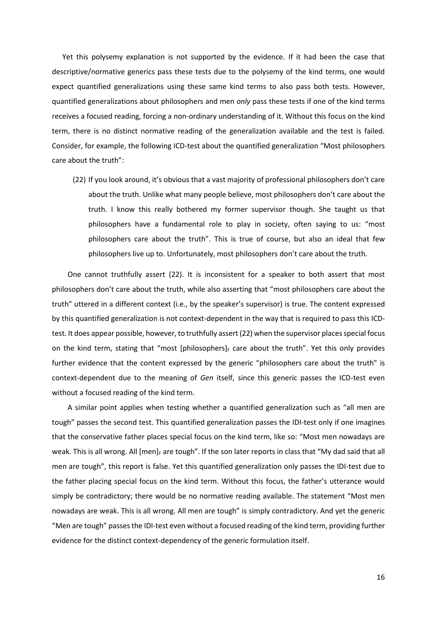Yet this polysemy explanation is not supported by the evidence. If it had been the case that descriptive/normative generics pass these tests due to the polysemy of the kind terms, one would expect quantified generalizations using these same kind terms to also pass both tests. However, quantified generalizations about philosophers and men *only* pass these tests if one of the kind terms receives a focused reading, forcing a non-ordinary understanding of it. Without this focus on the kind term, there is no distinct normative reading of the generalization available and the test is failed. Consider, for example, the following ICD-test about the quantified generalization "Most philosophers care about the truth":

(22) If you look around, it's obvious that a vast majority of professional philosophers don't care about the truth. Unlike what many people believe, most philosophers don't care about the truth. I know this really bothered my former supervisor though. She taught us that philosophers have a fundamental role to play in society, often saying to us: "most philosophers care about the truth". This is true of course, but also an ideal that few philosophers live up to. Unfortunately, most philosophers don't care about the truth.

One cannot truthfully assert (22). It is inconsistent for a speaker to both assert that most philosophers don't care about the truth, while also asserting that "most philosophers care about the truth" uttered in a different context (i.e., by the speaker's supervisor) is true. The content expressed by this quantified generalization is not context-dependent in the way that is required to pass this ICDtest. It does appear possible, however, to truthfully assert (22) when the supervisor places special focus on the kind term, stating that "most [philosophers] $_F$  care about the truth". Yet this only provides further evidence that the content expressed by the generic "philosophers care about the truth" is context-dependent due to the meaning of *Gen* itself, since this generic passes the ICD-test even without a focused reading of the kind term.

A similar point applies when testing whether a quantified generalization such as "all men are tough" passes the second test. This quantified generalization passes the IDI-test only if one imagines that the conservative father places special focus on the kind term, like so: "Most men nowadays are weak. This is all wrong. All  $[men]_F$  are tough". If the son later reports in class that "My dad said that all men are tough", this report is false. Yet this quantified generalization only passes the IDI-test due to the father placing special focus on the kind term. Without this focus, the father's utterance would simply be contradictory; there would be no normative reading available. The statement "Most men nowadays are weak. This is all wrong. All men are tough" is simply contradictory. And yet the generic "Men are tough" passes the IDI-test even without a focused reading of the kind term, providing further evidence for the distinct context-dependency of the generic formulation itself.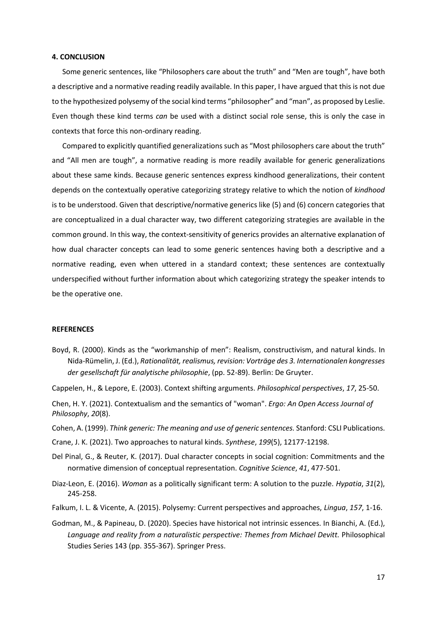# **4. CONCLUSION**

Some generic sentences, like "Philosophers care about the truth" and "Men are tough", have both a descriptive and a normative reading readily available. In this paper, I have argued that this is not due to the hypothesized polysemy of the social kind terms "philosopher" and "man", as proposed by Leslie. Even though these kind terms *can* be used with a distinct social role sense, this is only the case in contexts that force this non-ordinary reading.

Compared to explicitly quantified generalizations such as "Most philosophers care about the truth" and "All men are tough", a normative reading is more readily available for generic generalizations about these same kinds. Because generic sentences express kindhood generalizations, their content depends on the contextually operative categorizing strategy relative to which the notion of *kindhood*  is to be understood. Given that descriptive/normative generics like (5) and (6) concern categories that are conceptualized in a dual character way, two different categorizing strategies are available in the common ground. In this way, the context-sensitivity of generics provides an alternative explanation of how dual character concepts can lead to some generic sentences having both a descriptive and a normative reading, even when uttered in a standard context; these sentences are contextually underspecified without further information about which categorizing strategy the speaker intends to be the operative one.

#### **REFERENCES**

- Boyd, R. (2000). Kinds as the "workmanship of men": Realism, constructivism, and natural kinds. In Nida-Rümelin, J. (Ed.), *Rationalität, realismus, revision: Vorträge des 3. Internationalen kongresses der gesellschaft für analytische philosophie*, (pp. 52-89). Berlin: De Gruyter.
- Cappelen, H., & Lepore, E. (2003). Context shifting arguments. *Philosophical perspectives*, *17*, 25-50.

Chen, H. Y. (2021). Contextualism and the semantics of "woman". *Ergo: An Open Access Journal of Philosophy*, *20*(8).

- Cohen, A. (1999). *Think generic: The meaning and use of generic sentences.* Stanford: CSLI Publications.
- Crane, J. K. (2021). Two approaches to natural kinds. *Synthese*, *199*(5), 12177-12198.
- Del Pinal, G., & Reuter, K. (2017). Dual character concepts in social cognition: Commitments and the normative dimension of conceptual representation. *Cognitive Science*, *41*, 477-501.
- Diaz‐Leon, E. (2016). *Woman* as a politically significant term: A solution to the puzzle. *Hypatia*, *31*(2), 245-258.
- Falkum, I. L. & Vicente, A. (2015). Polysemy: Current perspectives and approaches, *Lingua*, *157*, 1-16.
- Godman, M., & Papineau, D. (2020). Species have historical not intrinsic essences. In Bianchi, A. (Ed.), Language and reality from a naturalistic perspective: Themes from Michael Devitt. Philosophical Studies Series 143 (pp. 355-367). Springer Press.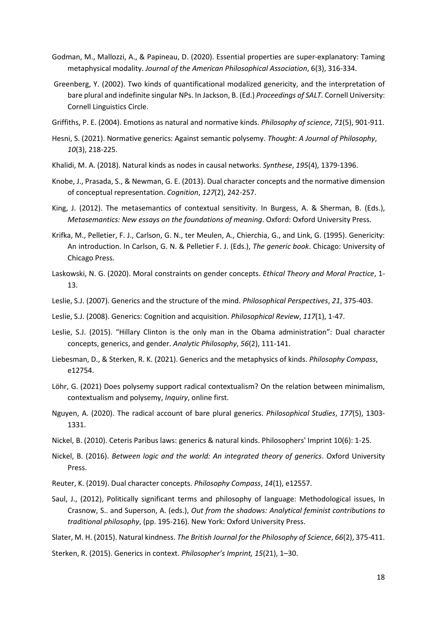- Godman, M., Mallozzi, A., & Papineau, D. (2020). Essential properties are super-explanatory: Taming metaphysical modality. *Journal of the American Philosophical Association*, 6(3), 316-334.
- Greenberg, Y. (2002). Two kinds of quantificational modalized genericity, and the interpretation of bare plural and indefinite singular NPs. In Jackson, B. (Ed.) *Proceedings of SALT.* Cornell University: Cornell Linguistics Circle.
- Griffiths, P. E. (2004). Emotions as natural and normative kinds. *Philosophy of science*, *71*(5), 901-911.
- Hesni, S. (2021). Normative generics: Against semantic polysemy. *Thought: A Journal of Philosophy*, *10*(3), 218-225.
- Khalidi, M. A. (2018). Natural kinds as nodes in causal networks. *Synthese*, *195*(4), 1379-1396.
- Knobe, J., Prasada, S., & Newman, G. E. (2013). Dual character concepts and the normative dimension of conceptual representation. *Cognition*, *127*(2), 242-257.
- King, J. (2012). The metasemantics of contextual sensitivity. In Burgess, A. & Sherman, B. (Eds.), *Metasemantics: New essays on the foundations of meaning*. Oxford: Oxford University Press.
- Krifka, M., Pelletier, F. J., Carlson, G. N., ter Meulen, A., Chierchia, G., and Link, G. (1995). Genericity: An introduction. In Carlson, G. N. & Pelletier F. J. (Eds.), *The generic book*. Chicago: University of Chicago Press.
- Laskowski, N. G. (2020). Moral constraints on gender concepts. *Ethical Theory and Moral Practice*, 1- 13.
- Leslie, S.J. (2007). Generics and the structure of the mind. *Philosophical Perspectives*, *21*, 375-403.
- Leslie, S.J. (2008). Generics: Cognition and acquisition. *Philosophical Review*, *117*(1), 1-47.
- Leslie, S.J. (2015). "Hillary Clinton is the only man in the Obama administration": Dual character concepts, generics, and gender. *Analytic Philosophy*, *56*(2), 111-141.
- Liebesman, D., & Sterken, R. K. (2021). Generics and the metaphysics of kinds. *Philosophy Compass*, e12754.
- Löhr, G. (2021) Does polysemy support radical contextualism? On the relation between minimalism, contextualism and polysemy, *Inquiry*, online first.
- Nguyen, A. (2020). The radical account of bare plural generics. *Philosophical Studies*, *177*(5), 1303- 1331.
- Nickel, B. (2010). Ceteris Paribus laws: generics & natural kinds. Philosophers' Imprint 10(6): 1-25.
- Nickel, B. (2016). *Between logic and the world: An integrated theory of generics*. Oxford University Press.
- Reuter, K. (2019). Dual character concepts. *Philosophy Compass*, *14*(1), e12557.
- Saul, J., (2012), Politically significant terms and philosophy of language: Methodological issues, In Crasnow, S.. and Superson, A. (eds.), *Out from the shadows: Analytical feminist contributions to traditional philosophy*, (pp. 195-216). New York: Oxford University Press.

Slater, M. H. (2015). Natural kindness. *The British Journal for the Philosophy of Science*, *66*(2), 375-411.

Sterken, R. (2015). Generics in context. *Philosopher's Imprint, 15*(21), 1–30.